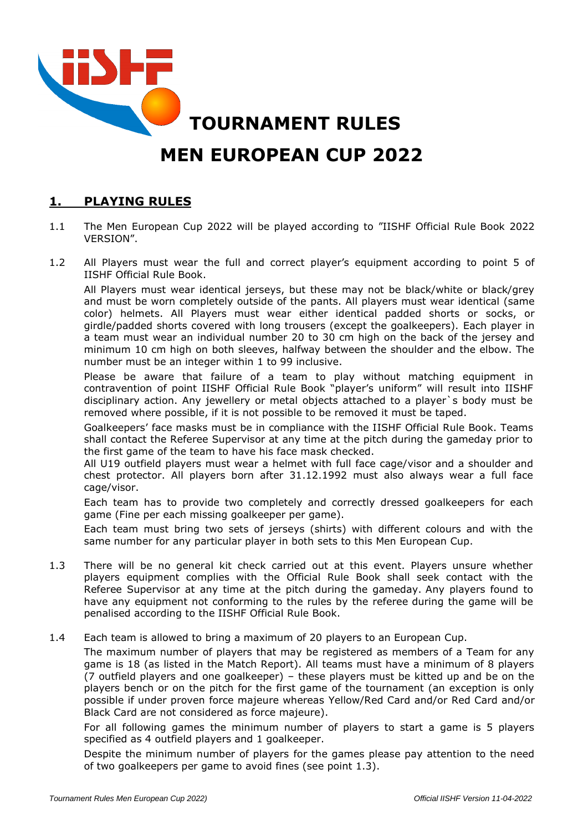

### **1. PLAYING RULES**

- 1.1 The Men European Cup 2022 will be played according to "IISHF Official Rule Book 2022 VERSION".
- 1.2 All Players must wear the full and correct player's equipment according to point 5 of IISHF Official Rule Book.

All Players must wear identical jerseys, but these may not be black/white or black/grey and must be worn completely outside of the pants. All players must wear identical (same color) helmets. All Players must wear either identical padded shorts or socks, or girdle/padded shorts covered with long trousers (except the goalkeepers). Each player in a team must wear an individual number 20 to 30 cm high on the back of the jersey and minimum 10 cm high on both sleeves, halfway between the shoulder and the elbow. The number must be an integer within 1 to 99 inclusive.

Please be aware that failure of a team to play without matching equipment in contravention of point IISHF Official Rule Book "player's uniform" will result into IISHF disciplinary action. Any jewellery or metal objects attached to a player`s body must be removed where possible, if it is not possible to be removed it must be taped.

Goalkeepers' face masks must be in compliance with the IISHF Official Rule Book. Teams shall contact the Referee Supervisor at any time at the pitch during the gameday prior to the first game of the team to have his face mask checked.

All U19 outfield players must wear a helmet with full face cage/visor and a shoulder and chest protector. All players born after 31.12.1992 must also always wear a full face cage/visor.

Each team has to provide two completely and correctly dressed goalkeepers for each game (Fine per each missing goalkeeper per game).

Each team must bring two sets of jerseys (shirts) with different colours and with the same number for any particular player in both sets to this Men European Cup.

- 1.3 There will be no general kit check carried out at this event. Players unsure whether players equipment complies with the Official Rule Book shall seek contact with the Referee Supervisor at any time at the pitch during the gameday. Any players found to have any equipment not conforming to the rules by the referee during the game will be penalised according to the IISHF Official Rule Book.
- 1.4 Each team is allowed to bring a maximum of 20 players to an European Cup.

The maximum number of players that may be registered as members of a Team for any game is 18 (as listed in the Match Report). All teams must have a minimum of 8 players (7 outfield players and one goalkeeper) – these players must be kitted up and be on the players bench or on the pitch for the first game of the tournament (an exception is only possible if under proven force majeure whereas Yellow/Red Card and/or Red Card and/or Black Card are not considered as force majeure).

For all following games the minimum number of players to start a game is 5 players specified as 4 outfield players and 1 goalkeeper.

Despite the minimum number of players for the games please pay attention to the need of two goalkeepers per game to avoid fines (see point 1.3).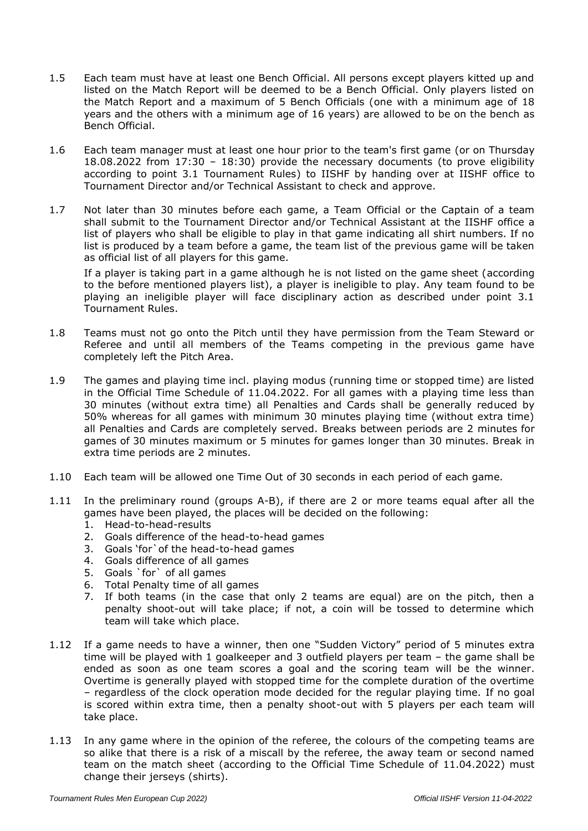- 1.5 Each team must have at least one Bench Official. All persons except players kitted up and listed on the Match Report will be deemed to be a Bench Official. Only players listed on the Match Report and a maximum of 5 Bench Officials (one with a minimum age of 18 years and the others with a minimum age of 16 years) are allowed to be on the bench as Bench Official.
- 1.6 Each team manager must at least one hour prior to the team's first game (or on Thursday 18.08.2022 from 17:30 – 18:30) provide the necessary documents (to prove eligibility according to point 3.1 Tournament Rules) to IISHF by handing over at IISHF office to Tournament Director and/or Technical Assistant to check and approve.
- 1.7 Not later than 30 minutes before each game, a Team Official or the Captain of a team shall submit to the Tournament Director and/or Technical Assistant at the IISHF office a list of players who shall be eligible to play in that game indicating all shirt numbers. If no list is produced by a team before a game, the team list of the previous game will be taken as official list of all players for this game.

If a player is taking part in a game although he is not listed on the game sheet (according to the before mentioned players list), a player is ineligible to play. Any team found to be playing an ineligible player will face disciplinary action as described under point 3.1 Tournament Rules.

- 1.8 Teams must not go onto the Pitch until they have permission from the Team Steward or Referee and until all members of the Teams competing in the previous game have completely left the Pitch Area.
- 1.9 The games and playing time incl. playing modus (running time or stopped time) are listed in the Official Time Schedule of 11.04.2022. For all games with a playing time less than 30 minutes (without extra time) all Penalties and Cards shall be generally reduced by 50% whereas for all games with minimum 30 minutes playing time (without extra time) all Penalties and Cards are completely served. Breaks between periods are 2 minutes for games of 30 minutes maximum or 5 minutes for games longer than 30 minutes. Break in extra time periods are 2 minutes.
- 1.10 Each team will be allowed one Time Out of 30 seconds in each period of each game.
- 1.11 In the preliminary round (groups A-B), if there are 2 or more teams equal after all the games have been played, the places will be decided on the following:
	- 1. Head-to-head-results
	- 2. Goals difference of the head-to-head games
	- 3. Goals 'for`of the head-to-head games
	- 4. Goals difference of all games
	- 5. Goals `for` of all games
	- 6. Total Penalty time of all games
	- 7. If both teams (in the case that only 2 teams are equal) are on the pitch, then a penalty shoot-out will take place; if not, a coin will be tossed to determine which team will take which place.
- 1.12 If a game needs to have a winner, then one "Sudden Victory" period of 5 minutes extra time will be played with 1 goalkeeper and 3 outfield players per team – the game shall be ended as soon as one team scores a goal and the scoring team will be the winner. Overtime is generally played with stopped time for the complete duration of the overtime – regardless of the clock operation mode decided for the regular playing time. If no goal is scored within extra time, then a penalty shoot-out with 5 players per each team will take place.
- 1.13 In any game where in the opinion of the referee, the colours of the competing teams are so alike that there is a risk of a miscall by the referee, the away team or second named team on the match sheet (according to the Official Time Schedule of 11.04.2022) must change their jerseys (shirts).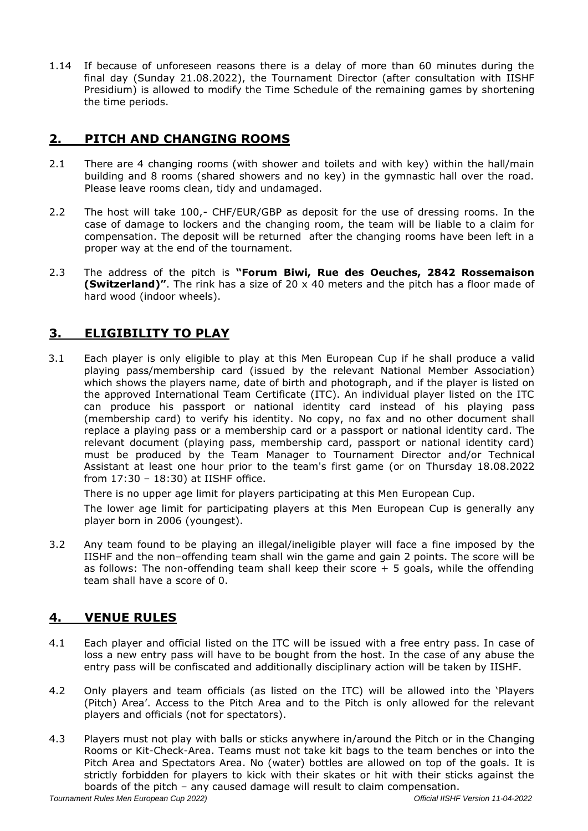1.14 If because of unforeseen reasons there is a delay of more than 60 minutes during the final day (Sunday 21.08.2022), the Tournament Director (after consultation with IISHF Presidium) is allowed to modify the Time Schedule of the remaining games by shortening the time periods.

## **2. PITCH AND CHANGING ROOMS**

- 2.1 There are 4 changing rooms (with shower and toilets and with key) within the hall/main building and 8 rooms (shared showers and no key) in the gymnastic hall over the road. Please leave rooms clean, tidy and undamaged.
- 2.2 The host will take 100,- CHF/EUR/GBP as deposit for the use of dressing rooms. In the case of damage to lockers and the changing room, the team will be liable to a claim for compensation. The deposit will be returned after the changing rooms have been left in a proper way at the end of the tournament.
- 2.3 The address of the pitch is **"Forum Biwi, Rue des Oeuches, 2842 Rossemaison (Switzerland)"**. The rink has a size of 20 x 40 meters and the pitch has a floor made of hard wood (indoor wheels).

# **3. ELIGIBILITY TO PLAY**

3.1 Each player is only eligible to play at this Men European Cup if he shall produce a valid playing pass/membership card (issued by the relevant National Member Association) which shows the players name, date of birth and photograph, and if the player is listed on the approved International Team Certificate (ITC). An individual player listed on the ITC can produce his passport or national identity card instead of his playing pass (membership card) to verify his identity. No copy, no fax and no other document shall replace a playing pass or a membership card or a passport or national identity card. The relevant document (playing pass, membership card, passport or national identity card) must be produced by the Team Manager to Tournament Director and/or Technical Assistant at least one hour prior to the team's first game (or on Thursday 18.08.2022 from 17:30 – 18:30) at IISHF office.

There is no upper age limit for players participating at this Men European Cup.

The lower age limit for participating players at this Men European Cup is generally any player born in 2006 (youngest).

3.2 Any team found to be playing an illegal/ineligible player will face a fine imposed by the IISHF and the non–offending team shall win the game and gain 2 points. The score will be as follows: The non-offending team shall keep their score + 5 goals, while the offending team shall have a score of 0.

## **4. VENUE RULES**

- 4.1 Each player and official listed on the ITC will be issued with a free entry pass. In case of loss a new entry pass will have to be bought from the host. In the case of any abuse the entry pass will be confiscated and additionally disciplinary action will be taken by IISHF.
- 4.2 Only players and team officials (as listed on the ITC) will be allowed into the 'Players (Pitch) Area'. Access to the Pitch Area and to the Pitch is only allowed for the relevant players and officials (not for spectators).
- 4.3 Players must not play with balls or sticks anywhere in/around the Pitch or in the Changing Rooms or Kit-Check-Area. Teams must not take kit bags to the team benches or into the Pitch Area and Spectators Area. No (water) bottles are allowed on top of the goals. It is strictly forbidden for players to kick with their skates or hit with their sticks against the boards of the pitch – any caused damage will result to claim compensation.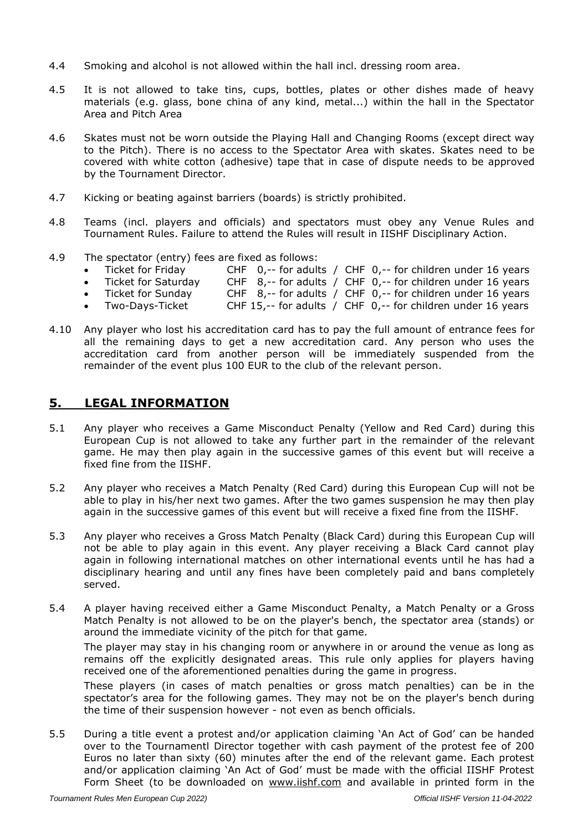- 4.4 Smoking and alcohol is not allowed within the hall incl. dressing room area.
- 4.5 It is not allowed to take tins, cups, bottles, plates or other dishes made of heavy materials (e.g. glass, bone china of any kind, metal...) within the hall in the Spectator Area and Pitch Area
- 4.6 Skates must not be worn outside the Playing Hall and Changing Rooms (except direct way to the Pitch). There is no access to the Spectator Area with skates. Skates need to be covered with white cotton (adhesive) tape that in case of dispute needs to be approved by the Tournament Director.
- 4.7 Kicking or beating against barriers (boards) is strictly prohibited.
- 4.8 Teams (incl. players and officials) and spectators must obey any Venue Rules and Tournament Rules. Failure to attend the Rules will result in IISHF Disciplinary Action.
- 4.9 The spectator (entry) fees are fixed as follows:
	- Ticket for Friday CHF 0,-- for adults / CHF 0,-- for children under 16 years
	- Ticket for Saturday CHF 8,-- for adults / CHF 0,-- for children under 16 years
	- Ticket for Sunday CHF 8,-- for adults / CHF 0,-- for children under 16 years
	- Two-Days-Ticket CHF 15,-- for adults / CHF 0,-- for children under 16 years
- 4.10 Any player who lost his accreditation card has to pay the full amount of entrance fees for all the remaining days to get a new accreditation card. Any person who uses the accreditation card from another person will be immediately suspended from the remainder of the event plus 100 EUR to the club of the relevant person.

#### **5. LEGAL INFORMATION**

- 5.1 Any player who receives a Game Misconduct Penalty (Yellow and Red Card) during this European Cup is not allowed to take any further part in the remainder of the relevant game. He may then play again in the successive games of this event but will receive a fixed fine from the IISHF.
- 5.2 Any player who receives a Match Penalty (Red Card) during this European Cup will not be able to play in his/her next two games. After the two games suspension he may then play again in the successive games of this event but will receive a fixed fine from the IISHF.
- 5.3 Any player who receives a Gross Match Penalty (Black Card) during this European Cup will not be able to play again in this event. Any player receiving a Black Card cannot play again in following international matches on other international events until he has had a disciplinary hearing and until any fines have been completely paid and bans completely served.
- 5.4 A player having received either a Game Misconduct Penalty, a Match Penalty or a Gross Match Penalty is not allowed to be on the player's bench, the spectator area (stands) or around the immediate vicinity of the pitch for that game.

The player may stay in his changing room or anywhere in or around the venue as long as remains off the explicitly designated areas. This rule only applies for players having received one of the aforementioned penalties during the game in progress.

These players (in cases of match penalties or gross match penalties) can be in the spectator's area for the following games. They may not be on the player's bench during the time of their suspension however - not even as bench officials.

5.5 During a title event a protest and/or application claiming 'An Act of God' can be handed over to the Tournamentl Director together with cash payment of the protest fee of 200 Euros no later than sixty (60) minutes after the end of the relevant game. Each protest and/or application claiming 'An Act of God' must be made with the official IISHF Protest Form Sheet (to be downloaded on [www.iishf.com](http://www.iishf.com/) and available in printed form in the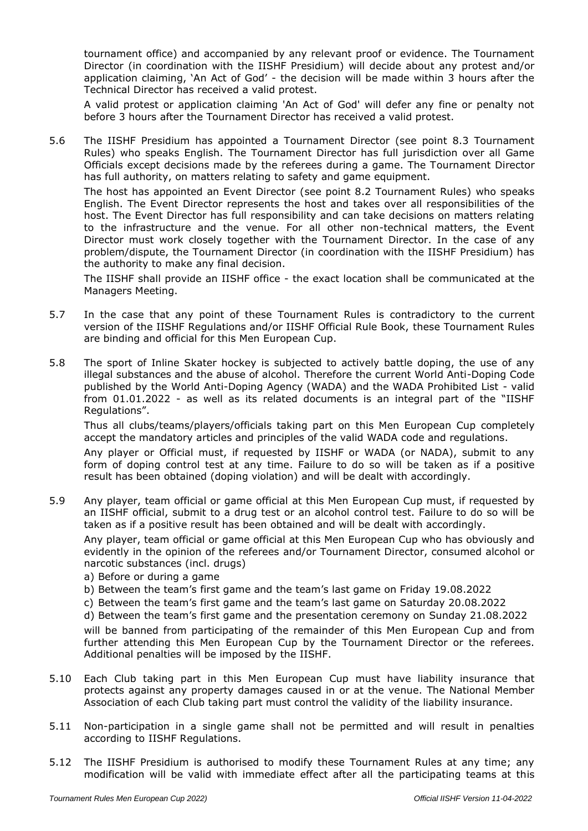tournament office) and accompanied by any relevant proof or evidence. The Tournament Director (in coordination with the IISHF Presidium) will decide about any protest and/or application claiming, 'An Act of God' - the decision will be made within 3 hours after the Technical Director has received a valid protest.

A valid protest or application claiming 'An Act of God' will defer any fine or penalty not before 3 hours after the Tournament Director has received a valid protest.

5.6 The IISHF Presidium has appointed a Tournament Director (see point 8.3 Tournament Rules) who speaks English. The Tournament Director has full jurisdiction over all Game Officials except decisions made by the referees during a game. The Tournament Director has full authority, on matters relating to safety and game equipment.

The host has appointed an Event Director (see point 8.2 Tournament Rules) who speaks English. The Event Director represents the host and takes over all responsibilities of the host. The Event Director has full responsibility and can take decisions on matters relating to the infrastructure and the venue. For all other non-technical matters, the Event Director must work closely together with the Tournament Director. In the case of any problem/dispute, the Tournament Director (in coordination with the IISHF Presidium) has the authority to make any final decision.

The IISHF shall provide an IISHF office - the exact location shall be communicated at the Managers Meeting.

- 5.7 In the case that any point of these Tournament Rules is contradictory to the current version of the IISHF Regulations and/or IISHF Official Rule Book, these Tournament Rules are binding and official for this Men European Cup.
- 5.8 The sport of Inline Skater hockey is subjected to actively battle doping, the use of any illegal substances and the abuse of alcohol. Therefore the current World Anti-Doping Code published by the World Anti-Doping Agency (WADA) and the WADA Prohibited List - valid from 01.01.2022 - as well as its related documents is an integral part of the "IISHF Regulations".

Thus all clubs/teams/players/officials taking part on this Men European Cup completely accept the mandatory articles and principles of the valid WADA code and regulations.

Any player or Official must, if requested by IISHF or WADA (or NADA), submit to any form of doping control test at any time. Failure to do so will be taken as if a positive result has been obtained (doping violation) and will be dealt with accordingly.

5.9 Any player, team official or game official at this Men European Cup must, if requested by an IISHF official, submit to a drug test or an alcohol control test. Failure to do so will be taken as if a positive result has been obtained and will be dealt with accordingly.

Any player, team official or game official at this Men European Cup who has obviously and evidently in the opinion of the referees and/or Tournament Director, consumed alcohol or narcotic substances (incl. drugs)

- a) Before or during a game
- b) Between the team's first game and the team's last game on Friday 19.08.2022
- c) Between the team's first game and the team's last game on Saturday 20.08.2022
- d) Between the team's first game and the presentation ceremony on Sunday 21.08.2022

will be banned from participating of the remainder of this Men European Cup and from further attending this Men European Cup by the Tournament Director or the referees. Additional penalties will be imposed by the IISHF.

- 5.10 Each Club taking part in this Men European Cup must have liability insurance that protects against any property damages caused in or at the venue. The National Member Association of each Club taking part must control the validity of the liability insurance.
- 5.11 Non-participation in a single game shall not be permitted and will result in penalties according to IISHF Regulations.
- 5.12 The IISHF Presidium is authorised to modify these Tournament Rules at any time; any modification will be valid with immediate effect after all the participating teams at this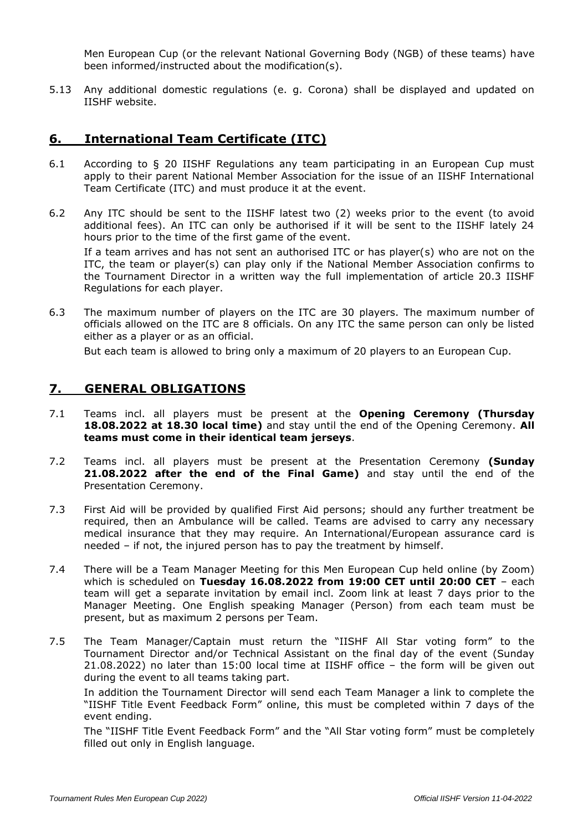Men European Cup (or the relevant National Governing Body (NGB) of these teams) have been informed/instructed about the modification(s).

5.13 Any additional domestic regulations (e. g. Corona) shall be displayed and updated on IISHF website.

### **6. International Team Certificate (ITC)**

- 6.1 According to § 20 IISHF Regulations any team participating in an European Cup must apply to their parent National Member Association for the issue of an IISHF International Team Certificate (ITC) and must produce it at the event.
- 6.2 Any ITC should be sent to the IISHF latest two (2) weeks prior to the event (to avoid additional fees). An ITC can only be authorised if it will be sent to the IISHF lately 24 hours prior to the time of the first game of the event.

If a team arrives and has not sent an authorised ITC or has player(s) who are not on the ITC, the team or player(s) can play only if the National Member Association confirms to the Tournament Director in a written way the full implementation of article 20.3 IISHF Regulations for each player.

6.3 The maximum number of players on the ITC are 30 players. The maximum number of officials allowed on the ITC are 8 officials. On any ITC the same person can only be listed either as a player or as an official.

But each team is allowed to bring only a maximum of 20 players to an European Cup.

#### **7. GENERAL OBLIGATIONS**

- 7.1 Teams incl. all players must be present at the **Opening Ceremony (Thursday 18.08.2022 at 18.30 local time)** and stay until the end of the Opening Ceremony. **All teams must come in their identical team jerseys**.
- 7.2 Teams incl. all players must be present at the Presentation Ceremony **(Sunday 21.08.2022 after the end of the Final Game)** and stay until the end of the Presentation Ceremony.
- 7.3 First Aid will be provided by qualified First Aid persons; should any further treatment be required, then an Ambulance will be called. Teams are advised to carry any necessary medical insurance that they may require. An International/European assurance card is needed – if not, the injured person has to pay the treatment by himself.
- 7.4 There will be a Team Manager Meeting for this Men European Cup held online (by Zoom) which is scheduled on **Tuesday 16.08.2022 from 19:00 CET until 20:00 CET** – each team will get a separate invitation by email incl. Zoom link at least 7 days prior to the Manager Meeting. One English speaking Manager (Person) from each team must be present, but as maximum 2 persons per Team.
- 7.5 The Team Manager/Captain must return the "IISHF All Star voting form" to the Tournament Director and/or Technical Assistant on the final day of the event (Sunday 21.08.2022) no later than 15:00 local time at IISHF office – the form will be given out during the event to all teams taking part.

In addition the Tournament Director will send each Team Manager a link to complete the "IISHF Title Event Feedback Form" online, this must be completed within 7 days of the event ending.

The "IISHF Title Event Feedback Form" and the "All Star voting form" must be completely filled out only in English language.